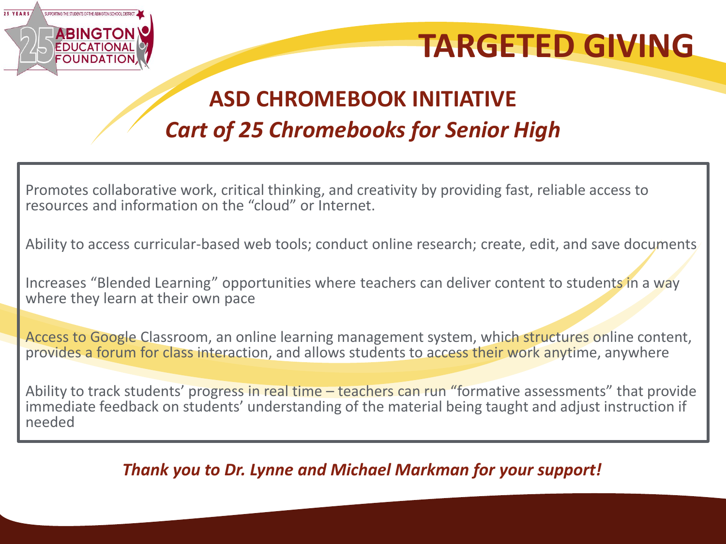

# **TARGETED GIVING**

## **ASD CHROMEBOOK INITIATIVE** *Cart of 25 Chromebooks for Senior High*

Promotes collaborative work, critical thinking, and creativity by providing fast, reliable access to resources and information on the "cloud" or Internet.

Ability to access curricular-based web tools; conduct online research; create, edit, and save documents

Increases "Blended Learning" opportunities where teachers can deliver content to students in a way where they learn at their own pace

Access to Google Classroom, an online learning management system, which structures online content, provides a forum for class interaction, and allows students to access their work anytime, anywhere

Ability to track students' progress in real time – teachers can run "formative assessments" that provide immediate feedback on students' understanding of the material being taught and adjust instruction if needed

#### *Thank you to Dr. Lynne and Michael Markman for your support!*